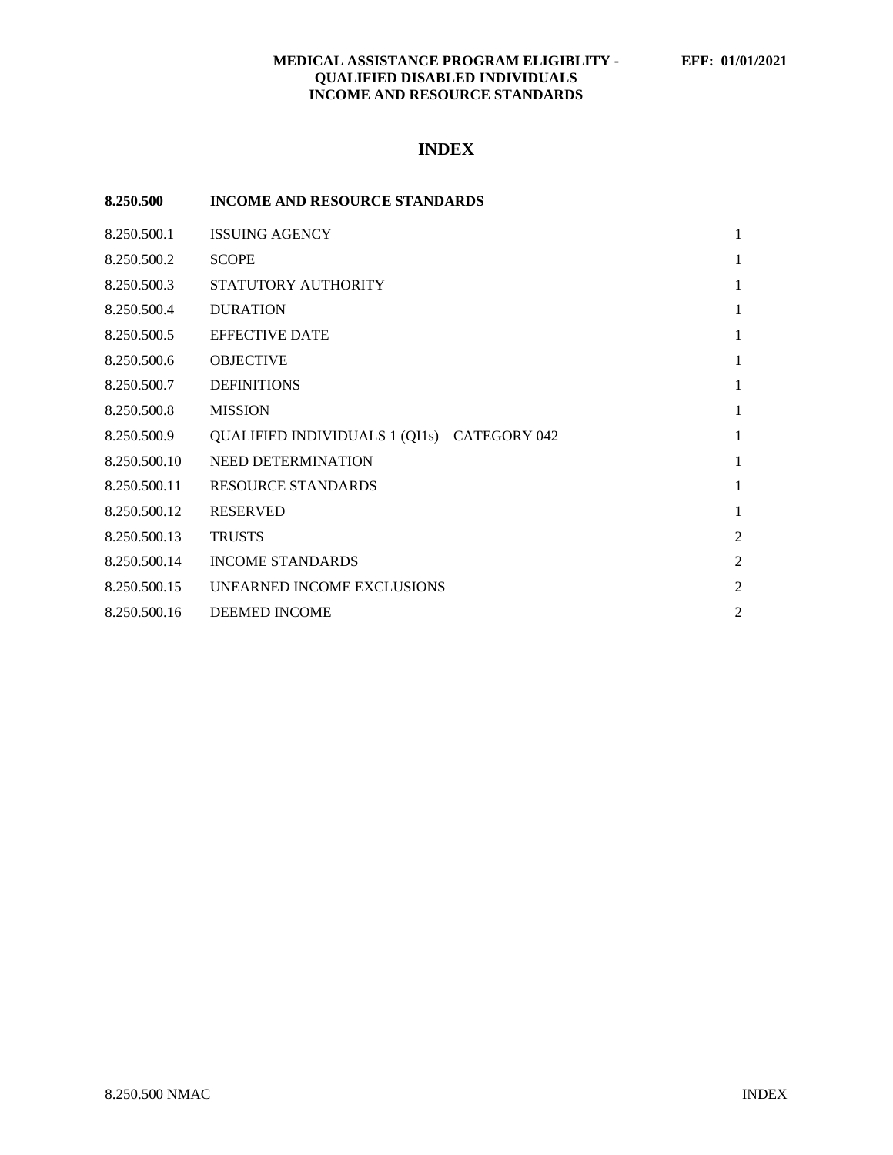# **MEDICAL ASSISTANCE PROGRAM ELIGIBLITY - EFF: 01/01/2021 QUALIFIED DISABLED INDIVIDUALS INCOME AND RESOURCE STANDARDS**

# **INDEX**

| 8.250.500    | <b>INCOME AND RESOURCE STANDARDS</b>                 |                |
|--------------|------------------------------------------------------|----------------|
| 8.250.500.1  | <b>ISSUING AGENCY</b>                                | 1              |
| 8.250.500.2  | <b>SCOPE</b>                                         | 1              |
| 8.250.500.3  | STATUTORY AUTHORITY                                  | 1              |
| 8.250.500.4  | <b>DURATION</b>                                      | 1              |
| 8.250.500.5  | <b>EFFECTIVE DATE</b>                                | 1              |
| 8.250.500.6  | <b>OBJECTIVE</b>                                     | 1              |
| 8.250.500.7  | <b>DEFINITIONS</b>                                   | 1              |
| 8.250.500.8  | <b>MISSION</b>                                       | 1              |
| 8.250.500.9  | <b>QUALIFIED INDIVIDUALS 1 (QI1s) - CATEGORY 042</b> | 1              |
| 8.250.500.10 | <b>NEED DETERMINATION</b>                            | 1              |
| 8.250.500.11 | <b>RESOURCE STANDARDS</b>                            | 1              |
| 8.250.500.12 | <b>RESERVED</b>                                      | $\mathbf{1}$   |
| 8.250.500.13 | <b>TRUSTS</b>                                        | $\overline{2}$ |
| 8.250.500.14 | <b>INCOME STANDARDS</b>                              | $\overline{2}$ |
| 8.250.500.15 | UNEARNED INCOME EXCLUSIONS                           | $\overline{2}$ |
| 8.250.500.16 | DEEMED INCOME                                        | $\overline{c}$ |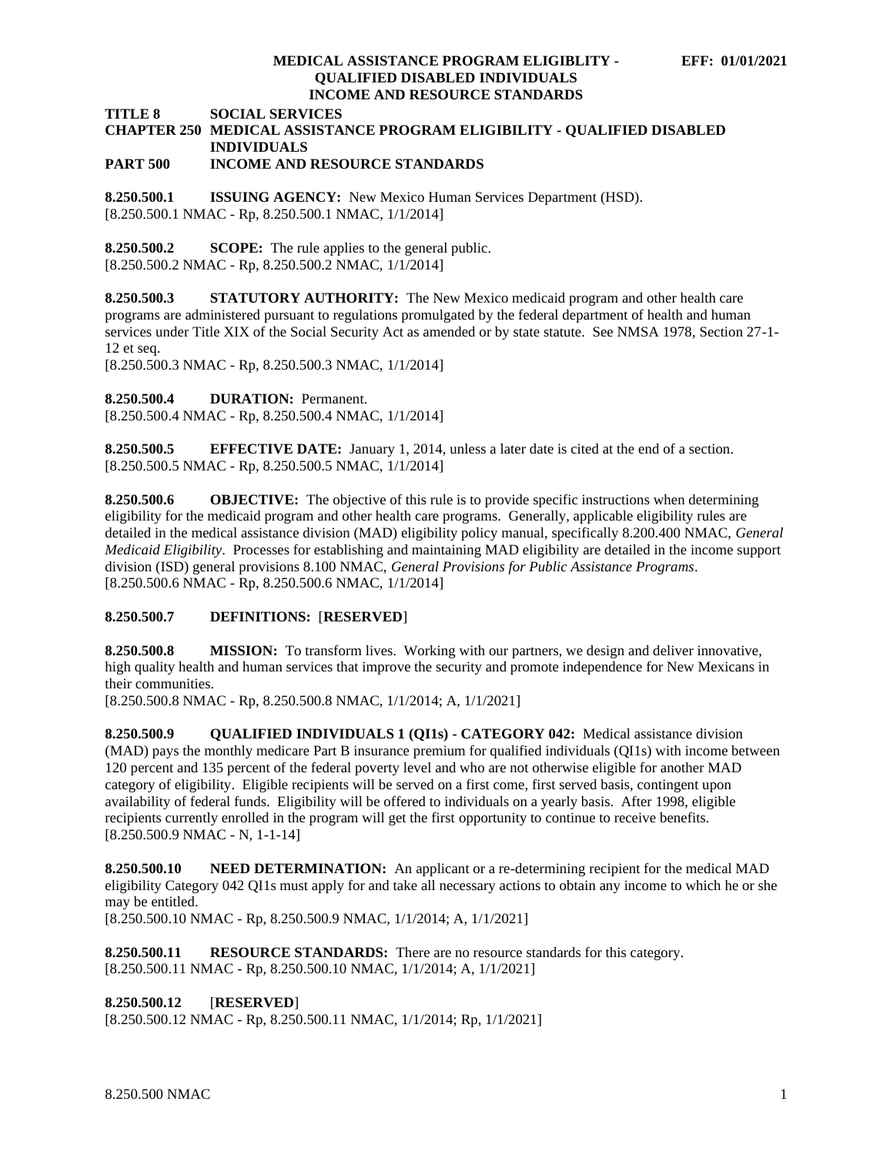#### **MEDICAL ASSISTANCE PROGRAM ELIGIBLITY - EFF: 01/01/2021 QUALIFIED DISABLED INDIVIDUALS INCOME AND RESOURCE STANDARDS**

**TITLE 8 SOCIAL SERVICES**

# **CHAPTER 250 MEDICAL ASSISTANCE PROGRAM ELIGIBILITY - QUALIFIED DISABLED INDIVIDUALS**

### **PART 500 INCOME AND RESOURCE STANDARDS**

<span id="page-1-0"></span>**8.250.500.1 ISSUING AGENCY:** New Mexico Human Services Department (HSD). [8.250.500.1 NMAC - Rp, 8.250.500.1 NMAC, 1/1/2014]

<span id="page-1-1"></span>**8.250.500.2 SCOPE:** The rule applies to the general public. [8.250.500.2 NMAC - Rp, 8.250.500.2 NMAC, 1/1/2014]

<span id="page-1-2"></span>**8.250.500.3 STATUTORY AUTHORITY:** The New Mexico medicaid program and other health care programs are administered pursuant to regulations promulgated by the federal department of health and human services under Title XIX of the Social Security Act as amended or by state statute. See NMSA 1978, Section 27-1- 12 et seq.

[8.250.500.3 NMAC - Rp, 8.250.500.3 NMAC, 1/1/2014]

<span id="page-1-3"></span>**8.250.500.4 DURATION:** Permanent.

[8.250.500.4 NMAC - Rp, 8.250.500.4 NMAC, 1/1/2014]

<span id="page-1-4"></span>**8.250.500.5 EFFECTIVE DATE:** January 1, 2014, unless a later date is cited at the end of a section. [8.250.500.5 NMAC - Rp, 8.250.500.5 NMAC, 1/1/2014]

<span id="page-1-5"></span>**8.250.500.6 OBJECTIVE:** The objective of this rule is to provide specific instructions when determining eligibility for the medicaid program and other health care programs. Generally, applicable eligibility rules are detailed in the medical assistance division (MAD) eligibility policy manual, specifically 8.200.400 NMAC, *General Medicaid Eligibility*. Processes for establishing and maintaining MAD eligibility are detailed in the income support division (ISD) general provisions 8.100 NMAC, *General Provisions for Public Assistance Programs*. [8.250.500.6 NMAC - Rp, 8.250.500.6 NMAC, 1/1/2014]

# <span id="page-1-6"></span>**8.250.500.7 DEFINITIONS:** [**RESERVED**]

<span id="page-1-7"></span>**8.250.500.8 MISSION:** To transform lives. Working with our partners, we design and deliver innovative, high quality health and human services that improve the security and promote independence for New Mexicans in their communities.

[8.250.500.8 NMAC - Rp, 8.250.500.8 NMAC, 1/1/2014; A, 1/1/2021]

<span id="page-1-8"></span>**8.250.500.9 QUALIFIED INDIVIDUALS 1 (QI1s) - CATEGORY 042:** Medical assistance division (MAD) pays the monthly medicare Part B insurance premium for qualified individuals (QI1s) with income between 120 percent and 135 percent of the federal poverty level and who are not otherwise eligible for another MAD category of eligibility. Eligible recipients will be served on a first come, first served basis, contingent upon availability of federal funds. Eligibility will be offered to individuals on a yearly basis. After 1998, eligible recipients currently enrolled in the program will get the first opportunity to continue to receive benefits. [8.250.500.9 NMAC - N, 1-1-14]

<span id="page-1-9"></span>**8.250.500.10 NEED DETERMINATION:** An applicant or a re-determining recipient for the medical MAD eligibility Category 042 QI1s must apply for and take all necessary actions to obtain any income to which he or she may be entitled.

[8.250.500.10 NMAC - Rp, 8.250.500.9 NMAC, 1/1/2014; A, 1/1/2021]

<span id="page-1-10"></span>**8.250.500.11 RESOURCE STANDARDS:** There are no resource standards for this category. [8.250.500.11 NMAC - Rp, 8.250.500.10 NMAC, 1/1/2014; A, 1/1/2021]

## <span id="page-1-11"></span>**8.250.500.12** [**RESERVED**]

[8.250.500.12 NMAC - Rp, 8.250.500.11 NMAC, 1/1/2014; Rp, 1/1/2021]